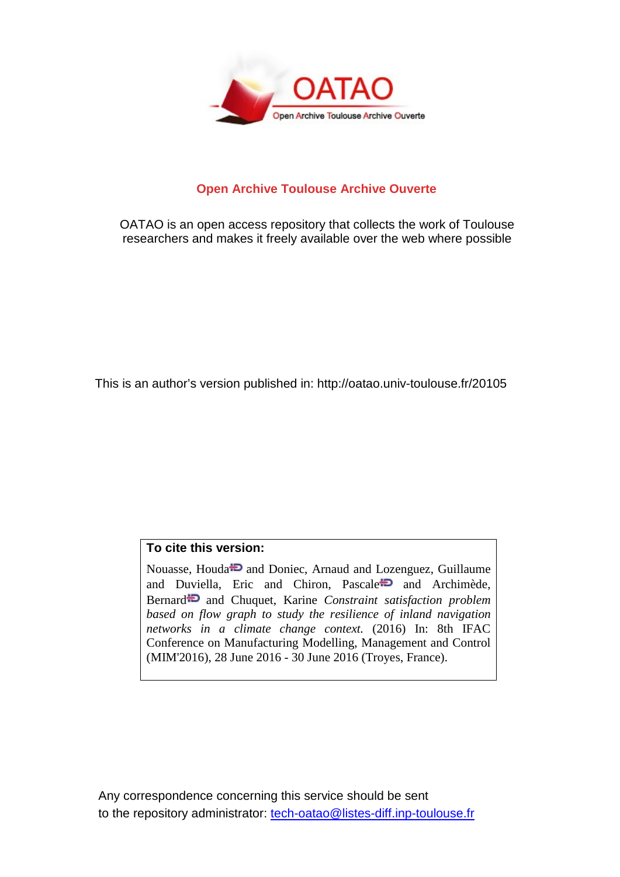

## **Open Archive Toulouse Archive Ouverte**

OATAO is an open access repository that collects the work of Toulouse researchers and makes it freely available over the web where possible

This is an author's version published in: http://oatao.univ-toulouse.fr/20105

## **To cite this version:**

Nou[a](http://www.idref.fr/18613908X)sse, Houda<sup>-2</sup> and Doniec, Arnaud and Lozenguez, Guillaume and Duvi[e](http://www.idref.fr/095066128)lla, Eric and Chiron, Pascale<sup>15</sup> and Archimède, Bernar[d](http://www.idref.fr/149393377)<sup>-2</sup> and Chuquet, Karine *Constraint satisfaction problem based on flow graph to study the resilience of inland navigation networks in a climate change context.* (2016) In: 8th IFAC Conference on Manufacturing Modelling, Management and Control (MIM'2016), 28 June 2016 - 30 June 2016 (Troyes, France).

Any correspondence concerning this service should be sent to the repository administrator: [tech-oatao@listes-diff.inp-toulouse.fr](mailto:tech-oatao@listes-diff.inp-toulouse.fr)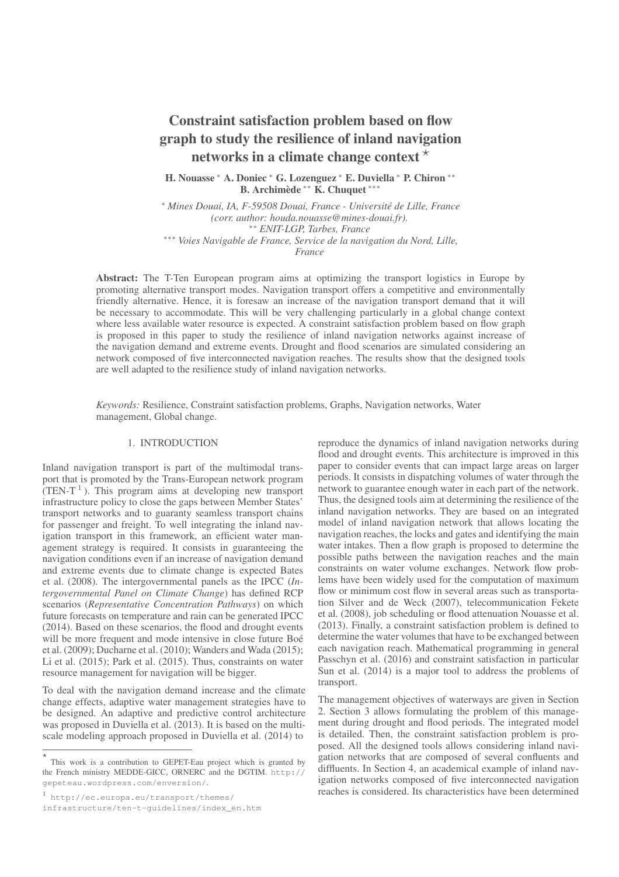# Constraint satisfaction problem based on flow graph to study the resilience of inland navigation networks in a climate change context  $\star$

H. Nouasse <sup>∗</sup> A. Doniec <sup>∗</sup> G. Lozenguez <sup>∗</sup> E. Duviella <sup>∗</sup> P. Chiron ∗∗ B. Archimède \*\* K. Chuquet \*\*\*

<sup>∗</sup> *Mines Douai, IA, F-59508 Douai, France - Universite de Lille, France ´ (corr. author: houda.nouasse@mines-douai.fr).* ∗∗ *ENIT-LGP, Tarbes, France* ∗∗∗ *Voies Navigable de France, Service de la navigation du Nord, Lille, France*

Abstract: The T-Ten European program aims at optimizing the transport logistics in Europe by promoting alternative transport modes. Navigation transport offers a competitive and environmentally friendly alternative. Hence, it is foresaw an increase of the navigation transport demand that it will be necessary to accommodate. This will be very challenging particularly in a global change context where less available water resource is expected. A constraint satisfaction problem based on flow graph is proposed in this paper to study the resilience of inland navigation networks against increase of the navigation demand and extreme events. Drought and flood scenarios are simulated considering an network composed of five interconnected navigation reaches. The results show that the designed tools are well adapted to the resilience study of inland navigation networks.

*Keywords:* Resilience, Constraint satisfaction problems, Graphs, Navigation networks, Water management, Global change.

## 1. INTRODUCTION

Inland navigation transport is part of the multimodal transport that is promoted by the Trans-European network program  $(TEN-T<sup>1</sup>)$ . This program aims at developing new transport infrastructure policy to close the gaps between Member States' transport networks and to guaranty seamless transport chains for passenger and freight. To well integrating the inland navigation transport in this framework, an efficient water management strategy is required. It consists in guaranteeing the navigation conditions even if an increase of navigation demand and extreme events due to climate change is expected Bates et al. (2008). The intergovernmental panels as the IPCC (*Intergovernmental Panel on Climate Change*) has defined RCP scenarios (*Representative Concentration Pathways*) on which future forecasts on temperature and rain can be generated IPCC (2014). Based on these scenarios, the flood and drought events will be more frequent and mode intensive in close future Boé et al. (2009); Ducharne et al. (2010); Wanders and Wada (2015); Li et al. (2015); Park et al. (2015). Thus, constraints on water resource management for navigation will be bigger.

To deal with the navigation demand increase and the climate change effects, adaptive water management strategies have to be designed. An adaptive and predictive control architecture was proposed in Duviella et al. (2013). It is based on the multiscale modeling approach proposed in Duviella et al. (2014) to

⋆

reproduce the dynamics of inland navigation networks during flood and drought events. This architecture is improved in this paper to consider events that can impact large areas on larger periods. It consists in dispatching volumes of water through the network to guarantee enough water in each part of the network. Thus, the designed tools aim at determining the resilience of the inland navigation networks. They are based on an integrated model of inland navigation network that allows locating the navigation reaches, the locks and gates and identifying the main water intakes. Then a flow graph is proposed to determine the possible paths between the navigation reaches and the main constraints on water volume exchanges. Network flow problems have been widely used for the computation of maximum flow or minimum cost flow in several areas such as transportation Silver and de Weck (2007), telecommunication Fekete et al. (2008), job scheduling or flood attenuation Nouasse et al. (2013). Finally, a constraint satisfaction problem is defined to determine the water volumes that have to be exchanged between each navigation reach. Mathematical programming in general Passchyn et al. (2016) and constraint satisfaction in particular Sun et al. (2014) is a major tool to address the problems of transport.

The management objectives of waterways are given in Section 2. Section 3 allows formulating the problem of this management during drought and flood periods. The integrated model is detailed. Then, the constraint satisfaction problem is proposed. All the designed tools allows considering inland navigation networks that are composed of several confluents and diffluents. In Section 4, an academical example of inland navigation networks composed of five interconnected navigation reaches is considered. Its characteristics have been determined

This work is a contribution to GEPET-Eau project which is granted by the French ministry MEDDE-GICC, ORNERC and the DGTIM. http:// gepeteau.wordpress.com/enversion/.

<sup>1</sup> http://ec.europa.eu/transport/themes/

infrastructure/ten-t-guidelines/index\_en.htm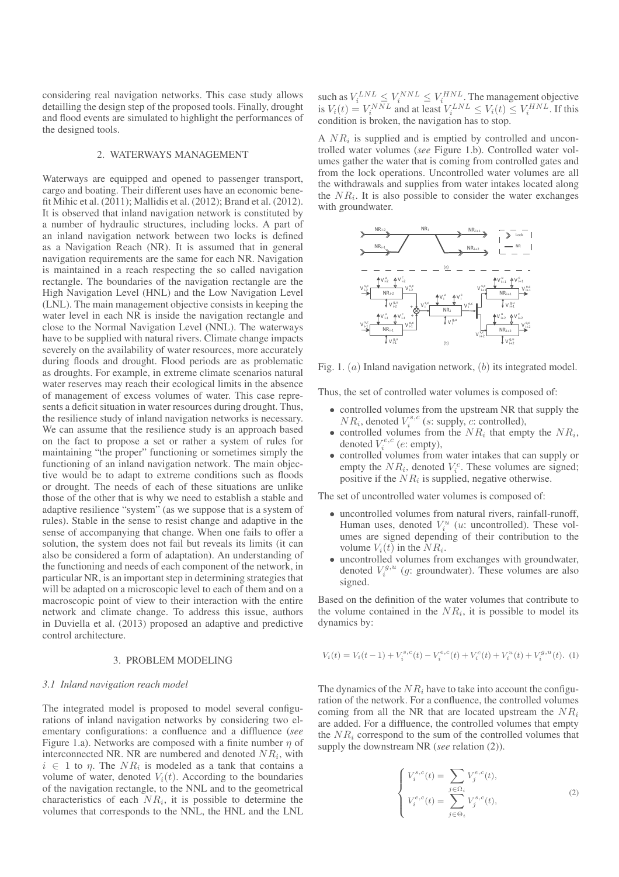considering real navigation networks. This case study allows detailling the design step of the proposed tools. Finally, drought and flood events are simulated to highlight the performances of the designed tools.

#### 2. WATERWAYS MANAGEMENT

Waterways are equipped and opened to passenger transport, cargo and boating. Their different uses have an economic benefit Mihic et al. (2011); Mallidis et al. (2012); Brand et al. (2012). It is observed that inland navigation network is constituted by a number of hydraulic structures, including locks. A part of an inland navigation network between two locks is defined as a Navigation Reach (NR). It is assumed that in general navigation requirements are the same for each NR. Navigation is maintained in a reach respecting the so called navigation rectangle. The boundaries of the navigation rectangle are the High Navigation Level (HNL) and the Low Navigation Level (LNL). The main management objective consists in keeping the water level in each NR is inside the navigation rectangle and close to the Normal Navigation Level (NNL). The waterways have to be supplied with natural rivers. Climate change impacts severely on the availability of water resources, more accurately during floods and drought. Flood periods are as problematic as droughts. For example, in extreme climate scenarios natural water reserves may reach their ecological limits in the absence of management of excess volumes of water. This case represents a deficit situation in water resources during drought. Thus, the resilience study of inland navigation networks is necessary. We can assume that the resilience study is an approach based on the fact to propose a set or rather a system of rules for maintaining "the proper" functioning or sometimes simply the functioning of an inland navigation network. The main objective would be to adapt to extreme conditions such as floods or drought. The needs of each of these situations are unlike those of the other that is why we need to establish a stable and adaptive resilience "system" (as we suppose that is a system of rules). Stable in the sense to resist change and adaptive in the sense of accompanying that change. When one fails to offer a solution, the system does not fail but reveals its limits (it can also be considered a form of adaptation). An understanding of the functioning and needs of each component of the network, in particular NR, is an important step in determining strategies that will be adapted on a microscopic level to each of them and on a macroscopic point of view to their interaction with the entire network and climate change. To address this issue, authors in Duviella et al. (2013) proposed an adaptive and predictive control architecture.

#### 3. PROBLEM MODELING

#### *3.1 Inland navigation reach model*

The integrated model is proposed to model several configurations of inland navigation networks by considering two elementary configurations: a confluence and a diffluence (*see* Figure 1.a). Networks are composed with a finite number  $\eta$  of interconnected NR. NR are numbered and denoted  $NR_i$ , with  $i \in 1$  to  $\eta$ . The  $NR_i$  is modeled as a tank that contains a volume of water, denoted  $V_i(t)$ . According to the boundaries of the navigation rectangle, to the NNL and to the geometrical characteristics of each  $NR_i$ , it is possible to determine the volumes that corresponds to the NNL, the HNL and the LNL

such as  $V_i^{LNL} \leq V_i^{NNL} \leq V_i^{HNL}$ . The management objective is  $V_i(t) = V_i^{NNL}$  and at least  $V_i^{LNL} \le V_i(t) \le V_i^{HNL}$ . If this condition is broken, the navigation has to stop.

A  $NR_i$  is supplied and is emptied by controlled and uncontrolled water volumes (*see* Figure 1.b). Controlled water volumes gather the water that is coming from controlled gates and from the lock operations. Uncontrolled water volumes are all the withdrawals and supplies from water intakes located along the  $NR_i$ . It is also possible to consider the water exchanges with groundwater.



Fig. 1.  $(a)$  Inland navigation network,  $(b)$  its integrated model.

Thus, the set of controlled water volumes is composed of:

- controlled volumes from the upstream NR that supply the  $NR_i$ , denoted  $V_i^{s,c}$  (s: supply, c: controlled),
- controlled volumes from the  $NR_i$  that empty the  $NR_i$ , denoted  $V_i^{e,c}$  (e: empty),
- controlled volumes from water intakes that can supply or empty the  $NR_i$ , denoted  $V_i^c$ . These volumes are signed; positive if the  $NR_i$  is supplied, negative otherwise.

The set of uncontrolled water volumes is composed of:

- uncontrolled volumes from natural rivers, rainfall-runoff, Human uses, denoted  $V_i^u$  (*u*: uncontrolled). These volumes are signed depending of their contribution to the volume  $V_i(t)$  in the  $NR_i$ .
- uncontrolled volumes from exchanges with groundwater, denoted  $V_i^{g,u}$  (g: groundwater). These volumes are also signed.

Based on the definition of the water volumes that contribute to the volume contained in the  $NR_i$ , it is possible to model its dynamics by:

$$
V_i(t) = V_i(t-1) + V_i^{s,c}(t) - V_i^{e,c}(t) + V_i^c(t) + V_i^u(t) + V_i^{g,u}(t).
$$
 (1)

The dynamics of the  $NR_i$  have to take into account the configuration of the network. For a confluence, the controlled volumes coming from all the NR that are located upstream the  $NR_i$ are added. For a diffluence, the controlled volumes that empty the  $NR_i$  correspond to the sum of the controlled volumes that supply the downstream NR (*see* relation (2)).

$$
\begin{cases}\n V_i^{s,c}(t) = \sum_{j \in \Omega_i} V_j^{e,c}(t), \\
 V_i^{e,c}(t) = \sum_{j \in \Theta_i} V_j^{s,c}(t),\n\end{cases}
$$
\n(2)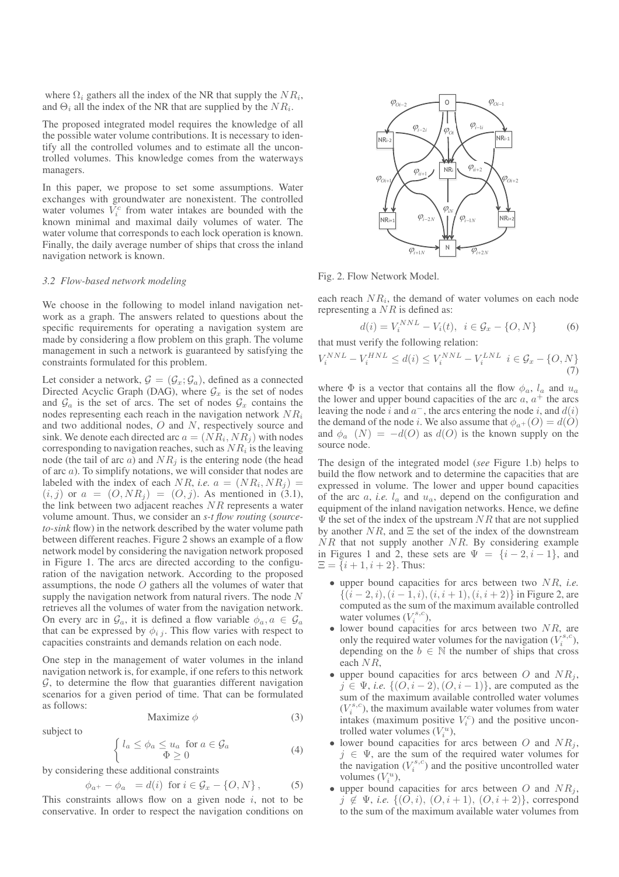where  $\Omega_i$  gathers all the index of the NR that supply the  $NR_i$ , and  $\Theta_i$  all the index of the NR that are supplied by the  $NR_i$ .

The proposed integrated model requires the knowledge of all the possible water volume contributions. It is necessary to identify all the controlled volumes and to estimate all the uncontrolled volumes. This knowledge comes from the waterways managers.

In this paper, we propose to set some assumptions. Water exchanges with groundwater are nonexistent. The controlled water volumes  $V_i^c$  from water intakes are bounded with the known minimal and maximal daily volumes of water. The water volume that corresponds to each lock operation is known. Finally, the daily average number of ships that cross the inland navigation network is known.

### *3.2 Flow-based network modeling*

We choose in the following to model inland navigation network as a graph. The answers related to questions about the specific requirements for operating a navigation system are made by considering a flow problem on this graph. The volume management in such a network is guaranteed by satisfying the constraints formulated for this problem.

Let consider a network,  $G = (\mathcal{G}_x; \mathcal{G}_a)$ , defined as a connected Directed Acyclic Graph (DAG), where  $\mathcal{G}_x$  is the set of nodes and  $\mathcal{G}_a$  is the set of arcs. The set of nodes  $\mathcal{G}_x$  contains the nodes representing each reach in the navigation network  $NR_i$ and two additional nodes, O and N, respectively source and sink. We denote each directed arc  $a = (NR_i, NR_j)$  with nodes corresponding to navigation reaches, such as  $NR_i$  is the leaving node (the tail of arc  $a$ ) and  $NR_j$  is the entering node (the head of arc a). To simplify notations, we will consider that nodes are labeled with the index of each  $NR$ , *i.e.*  $a = (NR_i, NR_j)$  $(i, j)$  or  $a = (O, NR<sub>i</sub>) = (O, j)$ . As mentioned in (3.1), the link between two adjacent reaches NR represents a water volume amount. Thus, we consider an *s-t flow routing* (*sourceto-sink* flow) in the network described by the water volume path between different reaches. Figure 2 shows an example of a flow network model by considering the navigation network proposed in Figure 1. The arcs are directed according to the configuration of the navigation network. According to the proposed assumptions, the node O gathers all the volumes of water that supply the navigation network from natural rivers. The node  $N$ retrieves all the volumes of water from the navigation network. On every arc in  $\mathcal{G}_a$ , it is defined a flow variable  $\phi_a, a \in \mathcal{G}_a$ that can be expressed by  $\phi_{i,j}$ . This flow varies with respect to capacities constraints and demands relation on each node.

One step in the management of water volumes in the inland navigation network is, for example, if one refers to this network  $G$ , to determine the flow that guaranties different navigation scenarios for a given period of time. That can be formulated as follows:

$$
Maximize \phi \tag{3}
$$

subject to

$$
\begin{cases} l_a \le \phi_a \le u_a \text{ for } a \in \mathcal{G}_a \\ \Phi \ge 0 \end{cases} \tag{4}
$$

by considering these additional constraints

$$
\phi_{a^{+}} - \phi_{a} = d(i) \text{ for } i \in \mathcal{G}_x - \{O, N\},
$$
 (5)

This constraints allows flow on a given node  $i$ , not to be conservative. In order to respect the navigation conditions on



Fig. 2. Flow Network Model.

each reach  $NR_i$ , the demand of water volumes on each node representing a  $NR$  is defined as:

$$
d(i) = V_i^{NNL} - V_i(t), \ \ i \in \mathcal{G}_x - \{O, N\}
$$
 (6)

that must verify the following relation:

$$
V_i^{NNL} - V_i^{HNL} \le d(i) \le V_i^{NNL} - V_i^{LNL} \ \ i \in \mathcal{G}_x - \{O, N\}
$$
  
(7)

where  $\Phi$  is a vector that contains all the flow  $\phi_a$ ,  $l_a$  and  $u_a$ the lower and upper bound capacities of the arc  $a, a<sup>+</sup>$  the arcs leaving the node i and  $a^-$ , the arcs entering the node i, and  $d(i)$ the demand of the node *i*. We also assume that  $\phi_{a+}(O) = d(O)$ and  $\phi_a$   $(N) = -d(O)$  as  $d(O)$  is the known supply on the source node.

The design of the integrated model (*see* Figure 1.b) helps to build the flow network and to determine the capacities that are expressed in volume. The lower and upper bound capacities of the arc  $a$ , *i.e.*  $l_a$  and  $u_a$ , depend on the configuration and equipment of the inland navigation networks. Hence, we define  $\Psi$  the set of the index of the upstream  $NR$  that are not supplied by another  $NR$ , and  $\Xi$  the set of the index of the downstream  $NR$  that not supply another  $NR$ . By considering example in Figures 1 and 2, these sets are  $\Psi = \{i-2, i-1\}$ , and  $\Xi = \{i+1, i+2\}$ . Thus:

- upper bound capacities for arcs between two NR, *i.e.*  $\{(\bar{i}-2,i),(\bar{i}-1,i),(\bar{i},i+1),(\bar{i},i+2)\}\$ in Figure 2, are computed as the sum of the maximum available controlled water volumes  $(V_i^{s,c})$ ,
- $\bullet$  lower bound capacities for arcs between two NR, are only the required water volumes for the navigation  $(V_i^{s,c})$ , depending on the  $b \in \mathbb{N}$  the number of ships that cross each NR,
- upper bound capacities for arcs between O and  $NR_i$ ,  $j \in \Psi$ , *i.e.*  $\{(O, i-2), (O, i-1)\}\)$ , are computed as the sum of the maximum available controlled water volumes  $(V_i^{s,c})$ , the maximum available water volumes from water intakes (maximum positive  $V_i^c$ ) and the positive uncontrolled water volumes  $(V_i^u)$ ,
- lower bound capacities for arcs between O and  $NR_i$ ,  $j \in \Psi$ , are the sum of the required water volumes for the navigation  $(V_i^{s,c})$  and the positive uncontrolled water volumes  $(V_i^u)$ ,
- upper bound capacities for arcs between O and  $NR_i$ ,  $j \notin \Psi$ , *i.e.*  $\{(O, i), (O, i + 1), (O, i + 2)\}$ , correspond to the sum of the maximum available water volumes from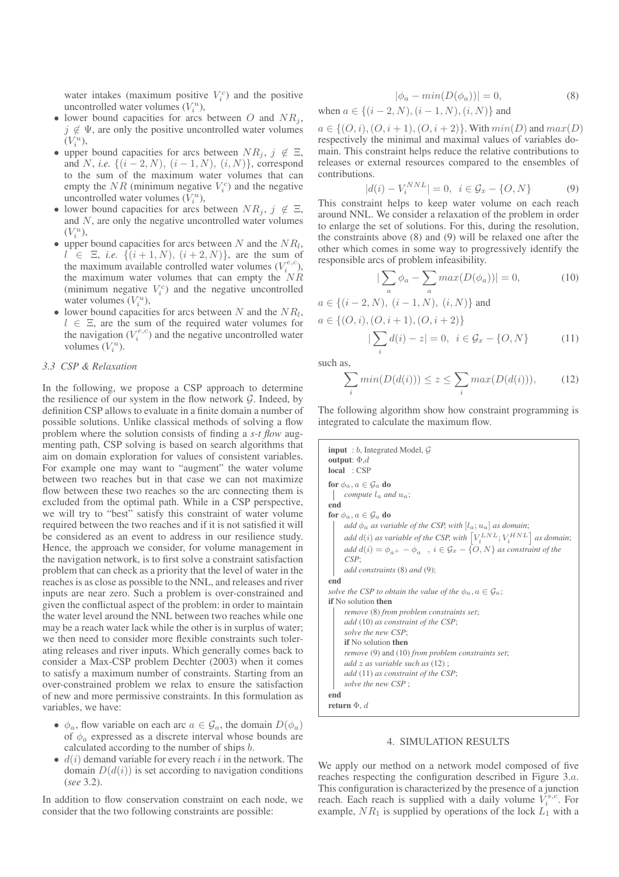water intakes (maximum positive  $V_i^c$ ) and the positive uncontrolled water volumes  $(V_i^u)$ ,

- lower bound capacities for arcs between O and  $NR_i$ ,  $j \notin \Psi$ , are only the positive uncontrolled water volumes  $(V_i^u)$ ,
- upper bound capacities for arcs between  $NR_j$ ,  $j \notin \Xi$ , and N, *i.e.*  $\{(i-2, N), (i-1, N), (i, N)\}$ , correspond to the sum of the maximum water volumes that can empty the  $NR$  (minimum negative  $V_i^c$ ) and the negative uncontrolled water volumes  $(V_i^u)$ ,
- lower bound capacities for arcs between  $NR_j$ ,  $j \notin \Xi$ , and N, are only the negative uncontrolled water volumes  $(V_i^u)$ ,
- upper bound capacities for arcs between  $N$  and the  $NR_l$ ,  $l \in \Xi$ , *i.e.*  $\{i+1, N\}$ ,  $(i+2, N)$ }, are the sum of the maximum available controlled water volumes  $(V_i^{e,c})$ , the maximum water volumes that can empty the  $NR$ (minimum negative  $V_i^c$ ) and the negative uncontrolled water volumes  $(V_i^u)$ ,
- lower bound capacities for arcs between  $N$  and the  $NR_l$ ,  $l \in \Xi$ , are the sum of the required water volumes for the navigation  $(V_i^{e,c})$  and the negative uncontrolled water volumes  $(V_i^u)$ .

## *3.3 CSP & Relaxation*

In the following, we propose a CSP approach to determine the resilience of our system in the flow network  $G$ . Indeed, by definition CSP allows to evaluate in a finite domain a number of possible solutions. Unlike classical methods of solving a flow problem where the solution consists of finding a *s-t flow* augmenting path, CSP solving is based on search algorithms that aim on domain exploration for values of consistent variables. For example one may want to "augment" the water volume between two reaches but in that case we can not maximize flow between these two reaches so the arc connecting them is excluded from the optimal path. While in a CSP perspective, we will try to "best" satisfy this constraint of water volume required between the two reaches and if it is not satisfied it will be considered as an event to address in our resilience study. Hence, the approach we consider, for volume management in the navigation network, is to first solve a constraint satisfaction problem that can check as a priority that the level of water in the reaches is as close as possible to the NNL, and releases and river inputs are near zero. Such a problem is over-constrained and given the conflictual aspect of the problem: in order to maintain the water level around the NNL between two reaches while one may be a reach water lack while the other is in surplus of water; we then need to consider more flexible constraints such tolerating releases and river inputs. Which generally comes back to consider a Max-CSP problem Dechter (2003) when it comes to satisfy a maximum number of constraints. Starting from an over-constrained problem we relax to ensure the satisfaction of new and more permissive constraints. In this formulation as variables, we have:

- $\phi_a$ , flow variable on each arc  $a \in \mathcal{G}_a$ , the domain  $D(\phi_a)$ of  $\phi_a$  expressed as a discrete interval whose bounds are calculated according to the number of ships b.
- $d(i)$  demand variable for every reach i in the network. The domain  $D(d(i))$  is set according to navigation conditions (*see* 3.2).

In addition to flow conservation constraint on each node, we consider that the two following constraints are possible:

$$
|\phi_a - min(D(\phi_a))| = 0,\t\t(8)
$$

when  $a \in \{(i-2, N), (i-1, N), (i, N)\}\$ and

 $a \in \{ (O, i), (O, i + 1), (O, i + 2) \}$ . With  $min(D)$  and  $max(D)$ respectively the minimal and maximal values of variables domain. This constraint helps reduce the relative contributions to releases or external resources compared to the ensembles of contributions.

$$
|d(i) - V_i^{NNL}| = 0, \ i \in \mathcal{G}_x - \{O, N\}
$$
 (9)

This constraint helps to keep water volume on each reach around NNL. We consider a relaxation of the problem in order to enlarge the set of solutions. For this, during the resolution, the constraints above (8) and (9) will be relaxed one after the other which comes in some way to progressively identify the responsible arcs of problem infeasibility.

$$
|\sum_{a} \phi_a - \sum_{a} max(D(\phi_a))| = 0,
$$
 (10)

 $a \in \{(i-2, N), (i-1, N), (i, N)\}\$ and  $a \in \{ (O, i), (O, i + 1), (O, i + 2) \}$ 

$$
|\sum_{i} d(i) - z| = 0, \ i \in \mathcal{G}_x - \{O, N\}
$$
 (11)

such as,

$$
\sum_{i} \min(D(d(i))) \le z \le \sum_{i} \max(D(d(i))), \qquad (12)
$$

The following algorithm show how constraint programming is integrated to calculate the maximum flow.

```
input : b, Integrated Model, G
output: \Phi,dlocal : CSP
for \phi_a, a \in \mathcal{G}_a do
compute la and ua;
end
for \phi_a, a \in \mathcal{G}_a do
     add \phi_a as variable of the CSP, with [l_a; u_a] as domain;
     add d(i) as variable of the CSP, with \left[ V_i^{LNL}; V_i^{HNL} \right] as domain;
     add d(i) = \phi_{a^+} - \phi_{a^-}, i \in \mathcal{G}_x - \{O, N\} as constraint of the
     CSP;
     add constraints (8) and (9);
end
solve the CSP to obtain the value of the \phi_a, a \in \mathcal{G}_a;
if No solution then
     remove (8) from problem constraints set;
     add (10) as constraint of the CSP;
     solve the new CSP;
     if No solution then
     remove (9) and (10) from problem constraints set;
     add z as variable such as (12) ;
     add (11) as constraint of the CSP;
     solve the new CSP ;
end
return \Phi, d
```
#### 4. SIMULATION RESULTS

We apply our method on a network model composed of five reaches respecting the configuration described in Figure 3.a. This configuration is characterized by the presence of a junction reach. Each reach is supplied with a daily volume  $V_i^{s,c}$ . For example,  $NR_1$  is supplied by operations of the lock  $L_1$  with a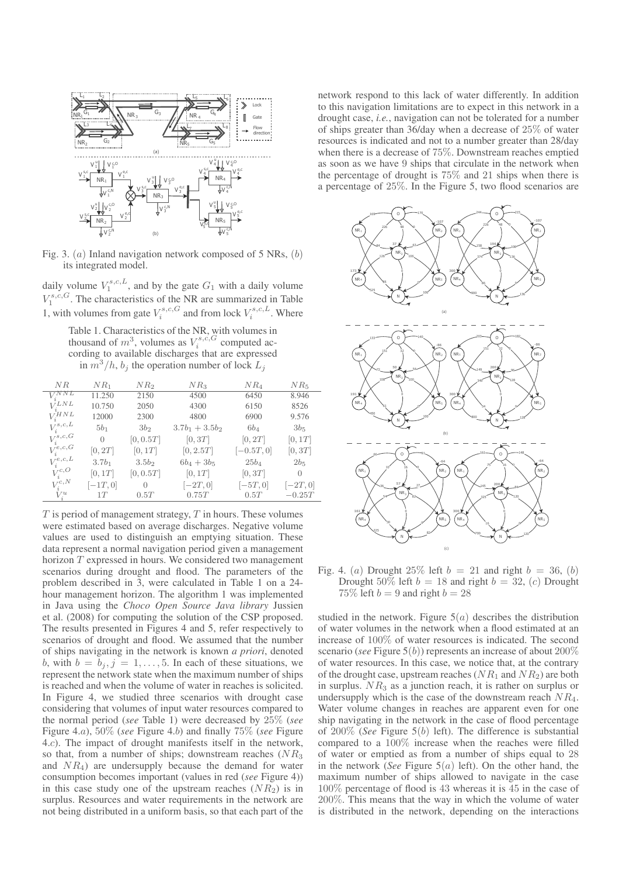

Fig. 3. (*a*) Inland navigation network composed of 5 NRs,  $(b)$ its integrated model.

daily volume  $V_1^{s,c,L}$ , and by the gate  $G_1$  with a daily volume  $V_1^{s,c,G}$ . The characteristics of the NR are summarized in Table 1, with volumes from gate  $V_i^{s,c,G}$  and from lock  $V_i^{s,c,L}$ . Where

Table 1. Characteristics of the NR, with volumes in thousand of  $m^3$ , volumes as  $V_i^{s,c,G}$  computed according to available discharges that are expressed in  $m^3/h$ ,  $b_j$  the operation number of lock  $L_j$ 

| NR<br>$NR_1$<br>$NR_2$<br>$NR_3$<br>NR <sub>4</sub>                       | $NR_5$           |
|---------------------------------------------------------------------------|------------------|
| $V^{NNL}$<br>11.250<br>2150<br>4500<br>6450                               | 8.946            |
| $V^{LNL}$<br>10.750<br>2050<br>4300<br>6150                               | 8526             |
| $V^{HNL}$<br>12000<br>2300<br>4800<br>6900                                | 9.576            |
| $V_i^{s,c,L}$<br>$5b_1$<br>$6b_4$<br>3b <sub>2</sub><br>$3.7b_1 + 3.5b_2$ | 3b <sub>5</sub>  |
| $V^{s,c,G}$<br>[0, 3T]<br>[0, 0.5T]<br>[0, 2T]<br>$\Omega$                | [0,1T]           |
| $V_{\cdot}^{e,c,G}$<br>[0,1T]<br>[0, 2.5T]<br>$[-0.5T, 0]$<br>[0, 2T]     | [0,3T]           |
| $V^{e,c,L}$<br>3.5b <sub>2</sub><br>$3.7b_1$<br>$6b_4 + 3b_5$<br>$25b_4$  | 2b <sub>5</sub>  |
| $V^{c,O}$<br>[0, 0.5T]<br>[0,1T]<br>[0,1T]<br>[0,3T]                      | $\left( \right)$ |
| $V_i^{c,N}$<br>$[-1T,0]$<br>$[-2T,0]$<br>$[-5T,0]$<br>$\left( \right)$    | $[-2T,0]$        |
| 0.5T<br>0.75T<br>$V_i^u$<br>0.5T<br>1T                                    | $-0.25T$         |

 $T$  is period of management strategy,  $T$  in hours. These volumes were estimated based on average discharges. Negative volume values are used to distinguish an emptying situation. These data represent a normal navigation period given a management horizon T expressed in hours. We considered two management scenarios during drought and flood. The parameters of the problem described in 3, were calculated in Table 1 on a 24 hour management horizon. The algorithm 1 was implemented in Java using the *Choco Open Source Java library* Jussien et al. (2008) for computing the solution of the CSP proposed. The results presented in Figures 4 and 5, refer respectively to scenarios of drought and flood. We assumed that the number of ships navigating in the network is known *a priori*, denoted b, with  $b = b_j$ ,  $j = 1, \ldots, 5$ . In each of these situations, we represent the network state when the maximum number of ships is reached and when the volume of water in reaches is solicited. In Figure 4, we studied three scenarios with drought case considering that volumes of input water resources compared to the normal period (*see* Table 1) were decreased by 25% (*see* Figure 4.a), 50% (*see* Figure 4.b) and finally 75% (*see* Figure 4.c). The impact of drought manifests itself in the network, so that, from a number of ships; downstream reaches  $(NR_3)$ and  $NR_4$ ) are undersupply because the demand for water consumption becomes important (values in red (*see* Figure 4)) in this case study one of the upstream reaches  $(NR_2)$  is in surplus. Resources and water requirements in the network are not being distributed in a uniform basis, so that each part of the

network respond to this lack of water differently. In addition to this navigation limitations are to expect in this network in a drought case, *i.e.*, navigation can not be tolerated for a number of ships greater than 36/day when a decrease of 25% of water resources is indicated and not to a number greater than 28/day when there is a decrease of 75%. Downstream reaches emptied as soon as we have 9 ships that circulate in the network when the percentage of drought is 75% and 21 ships when there is a percentage of 25%. In the Figure 5, two flood scenarios are



Fig. 4. (a) Drought 25% left  $b = 21$  and right  $b = 36$ , (b) Drought 50% left  $b = 18$  and right  $b = 32$ , (c) Drought 75% left  $b = 9$  and right  $b = 28$ 

studied in the network. Figure  $5(a)$  describes the distribution of water volumes in the network when a flood estimated at an increase of 100% of water resources is indicated. The second scenario (*see* Figure 5(b)) represents an increase of about 200% of water resources. In this case, we notice that, at the contrary of the drought case, upstream reaches  $(NR_1$  and  $NR_2$ ) are both in surplus.  $NR_3$  as a junction reach, it is rather on surplus or undersupply which is the case of the downstream reach  $NR_4$ . Water volume changes in reaches are apparent even for one ship navigating in the network in the case of flood percentage of 200% (*See* Figure 5(b) left). The difference is substantial compared to a 100% increase when the reaches were filled of water or emptied as from a number of ships equal to 28 in the network (*See* Figure  $5(a)$  left). On the other hand, the maximum number of ships allowed to navigate in the case 100% percentage of flood is 43 whereas it is 45 in the case of 200%. This means that the way in which the volume of water is distributed in the network, depending on the interactions